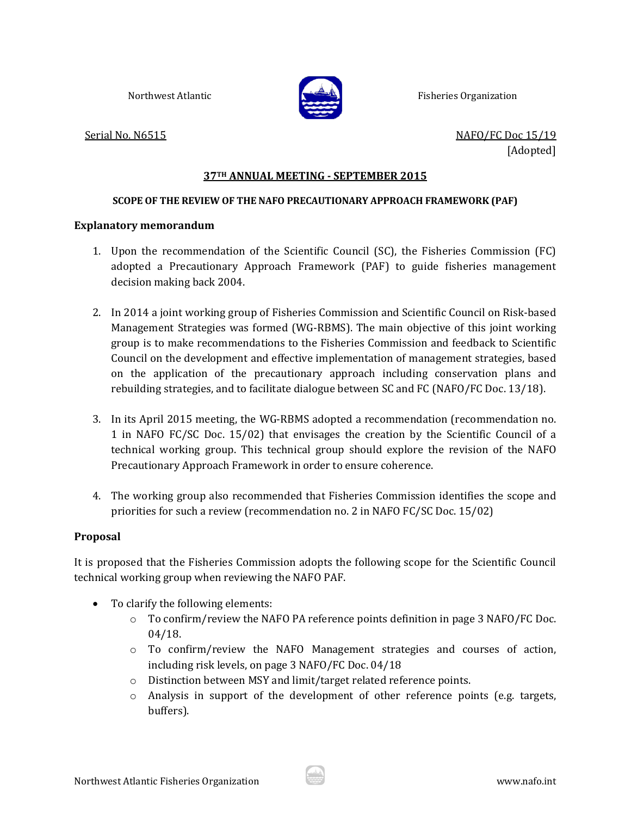

Northwest Atlantic **Fisheries Fisheries** Organization

Serial No. N6515 **Serial No. N6515 In the Serial No. N6515** [Adopted]

## **37TH ANNUAL MEETING ‐ SEPTEMBER 2015**

## **SCOPE OF THE REVIEW OF THE NAFO PRECAUTIONARY APPROACH FRAMEWORK (PAF)**

## **Explanatory memorandum**

- 1. Upon the recommendation of the Scientific Council (SC), the Fisheries Commission (FC) adopted a Precautionary Approach Framework (PAF) to guide fisheries management decision making back 2004.
- 2. In 2014 a joint working group of Fisheries Commission and Scientific Council on Risk-based Management Strategies was formed (WG-RBMS). The main objective of this joint working group is to make recommendations to the Fisheries Commission and feedback to Scientific Council on the development and effective implementation of management strategies, based on the application of the precautionary approach including conservation plans and rebuilding strategies, and to facilitate dialogue between SC and FC (NAFO/FC Doc.  $13/18$ ).
- 3. In its April 2015 meeting, the WG-RBMS adopted a recommendation (recommendation no. 1 in NAFO FC/SC Doc.  $15/02$ ) that envisages the creation by the Scientific Council of a technical working group. This technical group should explore the revision of the NAFO Precautionary Approach Framework in order to ensure coherence.
- 4. The working group also recommended that Fisheries Commission identifies the scope and priorities for such a review (recommendation no. 2 in NAFO FC/SC Doc.  $15/02$ )

## **Proposal**

It is proposed that the Fisheries Commission adopts the following scope for the Scientific Council technical working group when reviewing the NAFO PAF.

- To clarify the following elements:
	- $\circ$  To confirm/review the NAFO PA reference points definition in page 3 NAFO/FC Doc. 04/18.
	- $\circ$  To confirm/review the NAFO Management strategies and courses of action, including risk levels, on page 3 NAFO/FC Doc. 04/18
	- o Distinction between MSY and limit/target related reference points.
	- $\circ$  Analysis in support of the development of other reference points (e.g. targets, buffers).